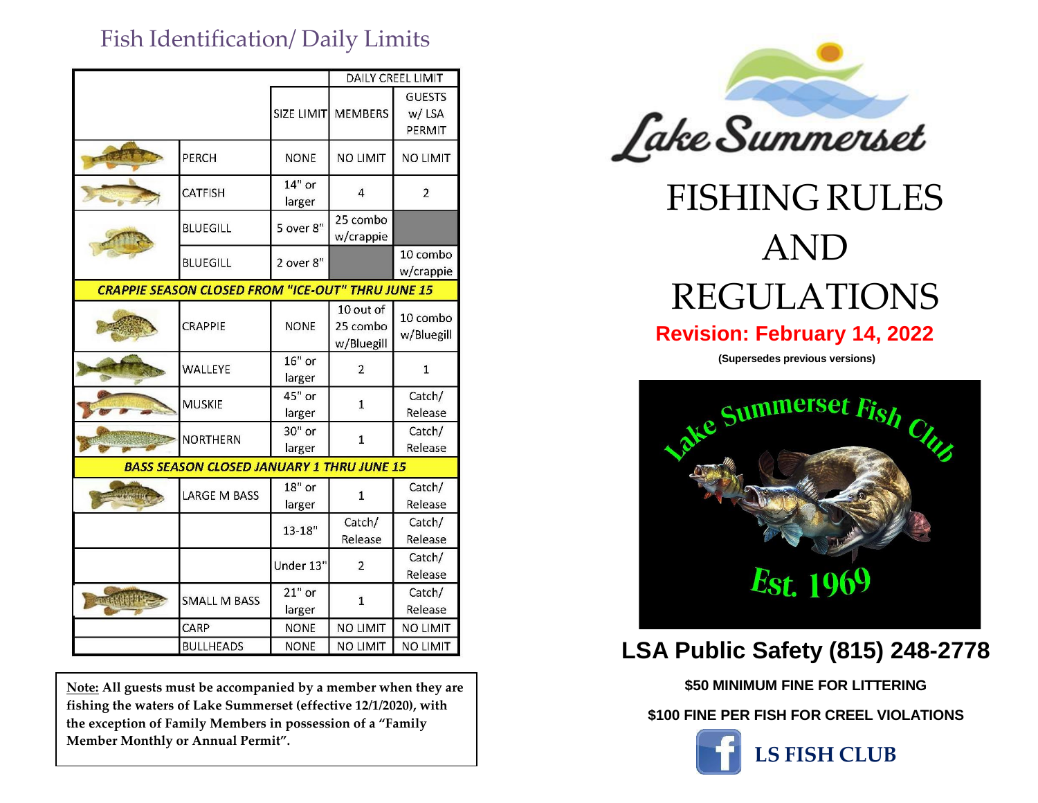## Fish Identification/ Daily Limits

|                                                          |                     |                    | <b>DAILY CREEL LIMIT</b>            |                                  |
|----------------------------------------------------------|---------------------|--------------------|-------------------------------------|----------------------------------|
|                                                          |                     | SIZE LIMIT         | <b>MEMBERS</b>                      | <b>GUESTS</b><br>w/LSA<br>PERMIT |
|                                                          | PERCH               | <b>NONE</b>        | <b>NO LIMIT</b>                     | <b>NO LIMIT</b>                  |
|                                                          | <b>CATFISH</b>      | $14"$ or<br>larger | 4                                   | $\overline{2}$                   |
|                                                          | <b>BLUEGILL</b>     | 5 over 8"          | 25 combo<br>w/crappie               |                                  |
|                                                          | <b>BLUEGILL</b>     | 2 over 8"          |                                     | 10 combo<br>w/crappie            |
| <b>CRAPPIE SEASON CLOSED FROM "ICE-OUT" THRU JUNE 15</b> |                     |                    |                                     |                                  |
|                                                          | CRAPPIE             | <b>NONE</b>        | 10 out of<br>25 combo<br>w/Bluegill | 10 combo<br>w/Bluegill           |
|                                                          | WALLEYE             | $16"$ or<br>larger | $\overline{2}$                      | $\mathbf{1}$                     |
|                                                          | <b>MUSKIE</b>       | 45" or<br>larger   | $\mathbf{1}$                        | Catch/<br>Release                |
|                                                          | NORTHERN            | 30" or<br>larger   | $\mathbf{1}$                        | Catch/<br>Release                |
| <b>BASS SEASON CLOSED JANUARY 1 THRU JUNE 15</b>         |                     |                    |                                     |                                  |
|                                                          | <b>LARGE M BASS</b> | $18"$ or<br>larger | $\mathbf{1}$                        | Catch/<br>Release                |
|                                                          |                     | $13 - 18"$         | Catch/<br>Release                   | Catch/<br>Release                |
|                                                          |                     | Under 13"          | $\overline{2}$                      | Catch/<br>Release                |
| <b>CONAKUR</b>                                           | <b>SMALL M BASS</b> | $21"$ or<br>larger | $\mathbf{1}$                        | Catch/<br>Release                |
|                                                          | CARP                | <b>NONE</b>        | <b>NO LIMIT</b>                     | <b>NO LIMIT</b>                  |
|                                                          | <b>BULLHEADS</b>    | <b>NONE</b>        | <b>NO LIMIT</b>                     | <b>NO LIMIT</b>                  |

**Note: All guests must be accompanied by a member when they are fishing the waters of Lake Summerset (effective 12/1/2020), with the exception of Family Members in possession of a "Family Member Monthly or Annual Permit".**



## FISHING RULES AND REGULATIONS

## **Revision: February 14, 2022**

**(Supersedes previous versions)**



## **LSA Public Safety (815) 248-2778**

**\$50 MINIMUM FINE FOR LITTERING**

**\$100 FINE PER FISH FOR CREEL VIOLATIONS**